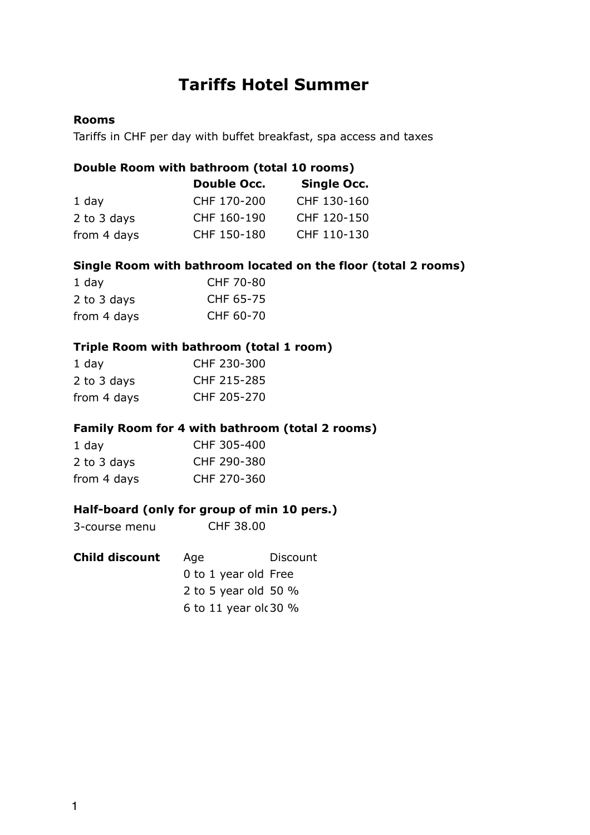# **Tariffs Hotel Summer**

## **Rooms**

Tariffs in CHF per day with buffet breakfast, spa access and taxes

#### **Double Room with bathroom (total 10 rooms)**

|             | <b>Double Occ.</b> | <b>Single Occ.</b> |
|-------------|--------------------|--------------------|
| $1$ day     | CHF 170-200        | CHF 130-160        |
| 2 to 3 days | CHF 160-190        | CHF 120-150        |
| from 4 days | CHF 150-180        | CHF 110-130        |

#### **Single Room with bathroom located on the floor (total 2 rooms)**

| 1 day       | CHF 70-80 |
|-------------|-----------|
| 2 to 3 days | CHF 65-75 |
| from 4 days | CHF 60-70 |

## **Triple Room with bathroom (total 1 room)**

| 1 day       | CHF 230-300 |
|-------------|-------------|
| 2 to 3 days | CHF 215-285 |
| from 4 days | CHF 205-270 |

## **Family Room for 4 with bathroom (total 2 rooms)**

| 1 day       | CHF 305-400 |
|-------------|-------------|
| 2 to 3 days | CHF 290-380 |
| from 4 days | CHF 270-360 |

## **Half-board (only for group of min 10 pers.)**

| <b>Child discount</b> | Discount<br>Age         |
|-----------------------|-------------------------|
|                       | 0 to 1 year old Free    |
|                       | 2 to 5 year old 50 $%$  |
|                       | 6 to 11 year old 30 $%$ |